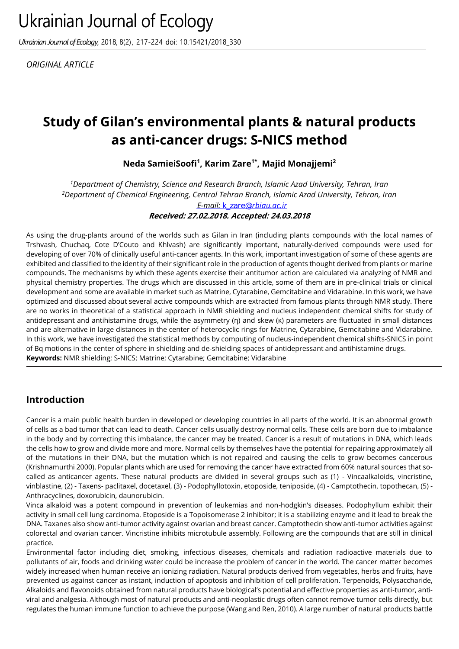*Ukrainian Journal of Ecology,* 2018, 8(2), 217-224 doi: 10.15421/2018\_330

*ORIGINAL ARTICLE* 

# **Study of Gilan's environmental plants & natural products as anti-cancer drugs: S-NICS method**

**Neda SamieiSoofi<sup>1</sup> , Karim Zare1\*, Majid Monajjemi<sup>2</sup>**

*<sup>1</sup>Department of Chemistry, Science and Research Branch, Islamic Azad University, Tehran, Iran <sup>2</sup>Department of Chemical Engineering, Central Tehran Branch, Islamic Azad University, Tehran, Iran E-mail: k\_zare@[rbiau.ac.ir](mailto:m_monajjemi@srbiau.ac.ir)* **Received: 27.02.2018. Accepted: 24.03.2018**

As using the drug-plants around of the worlds such as Gilan in Iran (including plants compounds with the local names of Trshvash, Chuchaq, Cote D'Couto and Khlvash) are significantly important, naturally-derived compounds were used for developing of over 70% of clinically useful anti-cancer agents. In this work, important investigation of some of these agents are exhibited and classified to the identity of their significant role in the production of agents thought derived from plants or marine compounds. The mechanisms by which these agents exercise their antitumor action are calculated via analyzing of NMR and physical chemistry properties. The drugs which are discussed in this article, some of them are in pre-clinical trials or clinical development and some are available in market such as Matrine, Cytarabine, Gemcitabine and Vidarabine. In this work, we have optimized and discussed about several active compounds which are extracted from famous plants through NMR study. There are no works in theoretical of a statistical approach in NMR shielding and nucleus independent chemical shifts for study of antidepressant and antihistamine drugs, while the asymmetry (η) and skew (κ) parameters are fluctuated in small distances and are alternative in large distances in the center of heterocyclic rings for Matrine, Cytarabine, Gemcitabine and Vidarabine. In this work, we have investigated the statistical methods by computing of nucleus-independent chemical shifts-SNICS in point of Bq motions in the center of sphere in shielding and de-shielding spaces of antidepressant and antihistamine drugs. **Keywords:** NMR shielding; S-NICS; Matrine; Cytarabine; Gemcitabine; Vidarabine

## **Introduction**

Cancer is a main public health burden in developed or developing countries in all parts of the world. It is an abnormal growth of cells as a bad tumor that can lead to death. Cancer cells usually destroy normal cells. These cells are born due to imbalance in the body and by correcting this imbalance, the cancer may be treated. Cancer is a result of mutations in DNA, which leads the cells how to grow and divide more and more. Normal cells by themselves have the potential for repairing approximately all of the mutations in their DNA, but the mutation which is not repaired and causing the cells to grow becomes cancerous (Krishnamurthi 2000). Popular plants which are used for removing the cancer have extracted from 60% natural sources that socalled as anticancer agents. These natural products are divided in several groups such as (1) - Vincaalkaloids, vincristine, vinblastine, (2) - Taxens- paclitaxel, docetaxel, (3) - Podophyllotoxin, etoposide, teniposide, (4) - Camptothecin, topothecan, (5) - Anthracyclines, doxorubicin, daunorubicin.

Vinca alkaloid was a potent compound in prevention of leukemias and non-hodgkin's diseases. Podophyllum exhibit their activity in small cell lung carcinoma. Etoposide is a Topoisomerase 2 inhibitor; it is a stabilizing enzyme and it lead to break the DNA. Taxanes also show anti-tumor activity against ovarian and breast cancer. Camptothecin show anti-tumor activities against colorectal and ovarian cancer. Vincristine inhibits microtubule assembly. Following are the compounds that are still in clinical practice.

Environmental factor including diet, smoking, infectious diseases, chemicals and radiation radioactive materials due to pollutants of air, foods and drinking water could be increase the problem of cancer in the world. The cancer matter becomes widely increased when human receive an ionizing radiation. Natural products derived from vegetables, herbs and fruits, have prevented us against cancer as instant, induction of apoptosis and inhibition of cell proliferation. Terpenoids, Polysaccharide, Alkaloids and flavonoids obtained from natural products have biological's potential and effective properties as anti-tumor, antiviral and analgesia. Although most of natural products and anti-neoplastic drugs often cannot remove tumor cells directly, but regulates the human immune function to achieve the purpose (Wang and Ren, 2010). A large number of natural products battle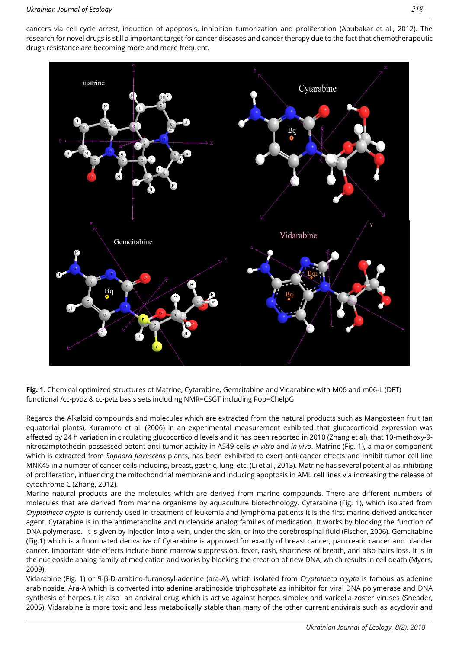cancers via cell cycle arrest, induction of apoptosis, inhibition tumorization and proliferation (Abubakar et al., 2012). The research for novel drugs is still a important target for cancer diseases and cancer therapy due to the fact that chemotherapeutic drugs resistance are becoming more and more frequent.



**Fig. 1**. Chemical optimized structures of Matrine, Cytarabine, Gemcitabine and Vidarabine with M06 and m06-L (DFT) functional /cc-pvdz & cc-pvtz basis sets including NMR=CSGT including Pop=ChelpG

Regards the Alkaloid compounds and molecules which are extracted from the natural products such as Mangosteen fruit (an equatorial plants), Kuramoto et al. (2006) in an experimental measurement exhibited that glucocorticoid expression was affected by 24 h variation in circulating glucocorticoid levels and it has been reported in 2010 (Zhang et al), that 10-methoxy-9 nitrocamptothecin possessed potent anti-tumor activity in A549 cells *in vitro* and *in vivo*. Matrine (Fig. 1), a major component which is extracted from *Sophora flavescens* plants, has been exhibited to exert anti-cancer effects and inhibit tumor cell line MNK45 in a number of cancer cells including, breast, gastric, lung, etc. (Li et al., 2013). Matrine has several potential as inhibiting of proliferation, influencing the mitochondrial membrane and inducing apoptosis in AML cell lines via increasing the release of cytochrome C (Zhang, 2012).

Marine natural products are the molecules which are derived from marine compounds. There are different numbers of molecules that are derived from marine organisms by aquaculture biotechnology. Cytarabine (Fig. 1), which isolated from *Cryptotheca crypta* is currently used in treatment of leukemia and lymphoma patients it is the first marine derived anticancer agent. Cytarabine is in the [antimetabolite](https://en.wikipedia.org/wiki/Antimetabolite) and [nucleoside analog](https://en.wikipedia.org/wiki/Nucleoside_analogue) families of medication. It works by blocking the function of [DNA polymerase.](https://en.wikipedia.org/wiki/DNA_polymerase) It is given b[y injection into a vein,](https://en.wikipedia.org/wiki/Intravenous) [under the skin,](https://en.wikipedia.org/wiki/Subcutaneous_injection) or into th[e cerebrospinal fluid](https://en.wikipedia.org/wiki/Intrathecal) (Fischer, 2006). Gemcitabine (Fig.1) which is a fluorinated derivative of Cytarabine is approved for exactly of breast cancer, pancreatic cancer and bladder cancer. Important side effects include [bone marrow suppression,](https://en.wikipedia.org/wiki/Bone_marrow_suppression) fever, rash, shortness of breath, and also [hairs loss.](https://en.wikipedia.org/wiki/Hair_loss) It is in the [nucleoside analog](https://en.wikipedia.org/wiki/Nucleoside_analogue) family of medication and works by blocking the creation of new [DNA,](https://en.wikipedia.org/wiki/DNA) which results in cell death (Myers, 2009).

Vidarabine (Fig. 1) or 9-β-D-arabino-furanosyl-adenine (ara-A), which isolated from *Cryptotheca crypta* is famous as adenine arabinoside, Ara-A which is converted into adenine arabinoside triphosphate as inhibitor for viral DNA polymerase and DNA synthesis of herpes.it is also an [antiviral drug](https://en.wikipedia.org/wiki/Antiviral_drug) which is active against [herpes simplex](https://en.wikipedia.org/wiki/Herpes_simplex) and [varicella zoster viruses](https://en.wikipedia.org/wiki/Varicella_zoster_virus) (Sneader, 2005). Vidarabine is more toxic and less metabolically stable than many of the other current antivirals such as [acyclovir](https://en.wikipedia.org/wiki/Acyclovir) and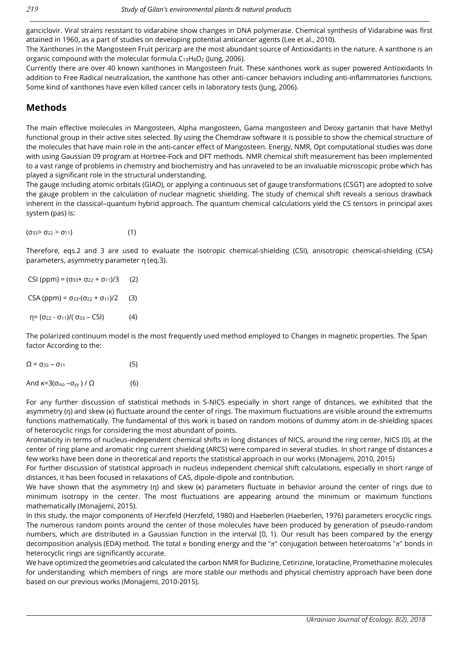[ganciclovir.](https://en.wikipedia.org/wiki/Ganciclovir) Viral strains resistant to vidarabine show changes in [DNA polymerase.](https://en.wikipedia.org/wiki/DNA_polymerase) Chemical synthesis of Vidarabine was first attained in 1960, as a part of studies on developing potential anticancer agents (Lee et al., 2010).

The Xanthones in the Mangosteen Fruit pericarp are the most abundant source of Antioxidants in the nature. A xanthone is an organic compound with the molecular formula C<sub>13</sub>H<sub>8</sub>O<sub>2</sub> (Jung, 2006).

Currently there are over 40 known xanthones in Mangosteen fruit. These xanthones work as super powered Antioxidants In addition to Free Radical neutralization, the xanthone has other anti-cancer behaviors including anti-inflammatories functions. Some kind of xanthones have even killed cancer cells in laboratory tests (Jung, 2006).

### **Methods**

The main effective molecules in Mangosteen, Alpha mangosteen, Gama mangosteen and Deoxy gartanin that have Methyl functional group in their active sites selected. By using the Chemdraw software it is possible to show the chemical structure of the molecules that have main role in the anti-cancer effect of Mangosteen. Energy, NMR, Opt computational studies was done with using Gaussian 09 program at Hortree-Fock and DFT methods. NMR chemical shift measurement has been implemented to a vast range of problems in chemistry and biochemistry and has unraveled to be an invaluable microscopic probe which has played a significant role in the structural understanding.

The gauge including atomic orbitals (GIAO), or applying a continuous set of gauge transformations (CSGT) are adopted to solve the gauge problem in the calculation of nuclear magnetic shielding. The study of chemical shift reveals a serious drawback inherent in the classical–quantum hybrid approach. The quantum chemical calculations yield the CS tensors in principal axes system (pas) is:

$$
(\sigma_{33} > \sigma_{22} > \sigma_{11}) \tag{1}
$$

Therefore, eqs.2 and 3 are used to evaluate the isotropic chemical-shielding (CSI), anisotropic chemical-shielding (CSA) parameters, asymmetry parameter η (eq.3).

| CSI (ppm) = $(\sigma_{33} + \sigma_{22} + \sigma_{11})/3$ (2)  |       |
|----------------------------------------------------------------|-------|
| CSA (ppm) = $\sigma_{33}$ -( $\sigma_{22}$ + $\sigma_{11}$ )/2 | - (3) |
| $\eta = (\sigma_{22} - \sigma_{11})/(\sigma_{33} - CSI)$       | (4)   |

The polarized continuum model is the most frequently used method employed to Changes in magnetic properties. The Span factor According to the:

$$
\Omega = \sigma_{33} - \sigma_{11} \tag{5}
$$

And  $\kappa=3(\sigma_{iso}-\sigma_{vv})/\Omega$  (6)

For any further discussion of statistical methods in S-NICS especially in short range of distances, we exhibited that the asymmetry (η) and skew (κ) fluctuate around the center of rings. The maximum fluctuations are visible around the extremums functions mathematically. The fundamental of this work is based on random motions of dummy atom in de-shielding spaces of heterocyclic rings for considering the most abundant of points.

Aromaticity in terms of nucleus-independent chemical shifts in long distances of NICS, around the ring center, NICS (0), at the center of ring plane and aromatic ring current shielding (ARCS) were compared in several studies. In short range of distances a few works have been done in theoretical and reports the statistical approach in our works (Monajjemi, 2010, 2015)

For further discussion of statistical approach in nucleus independent chemical shift calculations, especially in short range of distances, it has been focused in relaxations of CAS, dipole-dipole and contribution.

We have shown that the asymmetry (η) and skew (κ) parameters fluctuate in behavior around the center of rings due to minimum isotropy in the center. The most fluctuations are appearing around the minimum or maximum functions mathematically (Monajjemi, 2015).

In this study, the major components of Herzfeld (Herzfeld, 1980) an[d Haeberlen](http://anorganik.uni-tuebingen.de/klaus/nmr/index.php?p=conventions/csa/csa#haeberlen) (Haeberlen, 1976) parameters erocyclic rings. The numerous random points around the center of those molecules have been produced by generation of [pseudo-random](http://en.wikipedia.org/wiki/Pseudorandomness)  [numbers,](http://en.wikipedia.org/wiki/Pseudorandomness) which are distributed in a Gaussian function in the interval [0, 1). Our result has been compared by the energy decomposition analysis (EDA) method. The total  $\pi$  bonding energy and the " $\pi$ " conjugation between heteroatoms " $\pi$ " bonds in heterocyclic rings are significantly accurate.

We have optimized the geometries and calculated the carbon NMR for Buclizine, Cetirizine, loratacline, Promethazine molecules for understanding which members of rings are more stable our methods and physical chemistry approach have been done based on our previous works (Monajjemi, 2010-2015).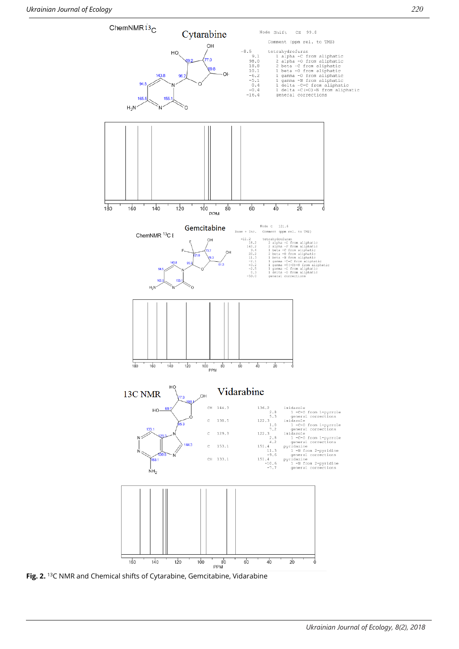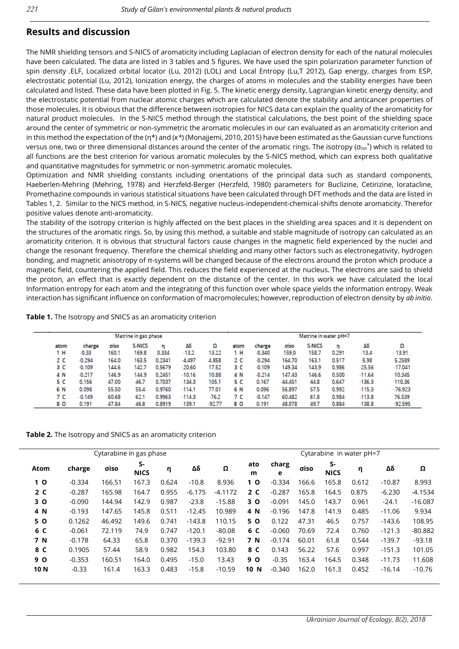## **Results and discussion**

The NMR shielding tensors and S-NICS of aromaticity including Laplacian of electron density for each of the natural molecules have been calculated. The data are listed in 3 tables and 5 figures. We have used the spin polarization parameter function of spin density .ELF, Localized orbital locator (Lu, 2012) (LOL) and Local Entropy (Lu,T 2012), Gap energy, charges from ESP, electrostatic potential (Lu, 2012), Ionization energy, the charges of atoms in molecules and the stability energies have been calculated and listed. These data have been plotted in Fig. 5. The kinetic energy density, Lagrangian kinetic energy density, and the electrostatic potential from nuclear atomic charges which are calculated denote the stability and anticancer properties of those molecules. It is obvious that the difference between isotropies for NICS data can explain the quality of the aromaticity for natural product molecules. In the S-NICS method through the statistical calculations, the best point of the shielding space around the center of symmetric or non-symmetric the aromatic molecules in our can evaluated as an aromaticity criterion and in this method the expectation of the (η\*) and (*κ\**) (Monajjemi, 2010, 2015) have been estimated as the Gaussian curve functions versus one, two or three dimensional distances around the center of the aromatic rings. The isotropy (σ<sub>iso</sub>\*) which is related to all functions are the best criterion for various aromatic molecules by the S-NICS method, which can express both qualitative and quantitative magnitudes for symmetric or non-symmetric aromatic molecules.

Optimization and NMR shielding constants including orientations of the principal data such as standard components, Haeberlen-Mehring (Mehring, 1978) and Herzfeld-Berger (Herzfeld, 1980) parameters for Buclizine, Cetirizine, loratacline, Promethazine compounds in various statistical situations have been calculated through DFT methods and the data are listed in Tables 1, 2. Similar to the NICS method, in S-NICS, negative nucleus-independent-chemical-shifts denote aromaticity. Therefor positive values denote anti-aromaticity.

The stability of the isotropy criterion is highly affected on the best places in the shielding area spaces and it is dependent on the structures of the aromatic rings. So, by using this method, a suitable and stable magnitude of isotropy can calculated as an aromaticity criterion. It is obvious that structural factors cause changes in the magnetic field experienced by the nuclei and change the resonant frequency. Therefore the [chemical shielding](http://www.chem.ucalgary.ca/courses/351/Carey5th/Ch13/ch13-nmr-2.html) and many other factors such as electronegativity, [hydrogen](file:///C:/Users/monajjemi/15%20feb/shieldinge%20jadi/Ch%2013%20-%20Shielding.htm%23h-bonding)  [bonding,](file:///C:/Users/monajjemi/15%20feb/shieldinge%20jadi/Ch%2013%20-%20Shielding.htm%23h-bonding) and [magnetic anisotropy of](file:///C:/Users/monajjemi/15%20feb/shieldinge%20jadi/Ch%2013%20-%20Shielding.htm%23anisotropy) [π](file:///C:/Users/monajjemi/15%20feb/shieldinge%20jadi/Ch%2013%20-%20Shielding.htm%23anisotropy)[-systems](file:///C:/Users/monajjemi/15%20feb/shieldinge%20jadi/Ch%2013%20-%20Shielding.htm%23anisotropy) will be changed because of the electrons around the proton which produce a magnetic field, countering the applied field. This reduces the field experienced at the nucleus. The electrons are said to shield the proton, an effect that is exactly dependent on the distance of the center. In this work we have calculated the local Information entropy for each atom and the integrating of this function over whole space yields the information entropy. Weak interaction has significant influence on conformation of macromolecules; however, reproduction of electron density by *ab initio*.

**Table 1.** The Isotropy and SNICS as an aromaticity criterion

| Matrine in gas phase |          |       |               |        |          |          | Matrine in water pH=7 |          |             |        |       |          |           |  |
|----------------------|----------|-------|---------------|--------|----------|----------|-----------------------|----------|-------------|--------|-------|----------|-----------|--|
| atom                 | charge   | oiso  | <b>S-NICS</b> | n      | Δδ       | Ω        | atom                  | charge   | <b>aiso</b> | S-NICS | п     | Δδ       | Ω         |  |
| 1 H                  | -0.33    | 160.1 | 169.8         | 0.334  | $-13.2$  | 13.22    | 1 H                   | $-0.340$ | 159.0       | 158.7  | 0.291 | -13.4    | 13.91     |  |
| 2 C                  | $-0.294$ | 164.0 | 163.5         | 0.2341 | $-4.497$ | 4.858    | 2 C                   | $-0.294$ | 164.70      | 163.1  | 0.517 | $-5.98$  | 5.2589    |  |
| зс                   | $-0.109$ | 144.6 | 142.7         | 0.5679 | $-20.60$ | 17.52    | з с                   | $-0.109$ | 149.34      | 143.9  | 0.986 | $-25.56$ | $-17.041$ |  |
| 4 N                  | $-0.217$ | 146.9 | 144.9         | 0.2451 | $-10.16$ | 10.88    | 4 N                   | $-0.214$ | 147.43      | 146.6  | 0.500 | $-11.64$ | 10.345    |  |
| 5 C                  | 0.156    | 47.00 | 46.7          | 0.7037 | $-134.3$ | 105.1    | 5 C                   | 0.167    | 44.451      | 44.8   | 0.647 | $-136.3$ | 110.36    |  |
| 6 N                  | 0.098    | 55.50 | 55.4          | 0.9760 | $-114.1$ | 77.01    | 6 N                   | 0.096    | 56.897      | 57.5   | 0.992 | $-115.3$ | $-76.923$ |  |
| 7 C                  | $-0.149$ | 60.68 | 62.1          | 0.9963 | $-114.3$ | -76.2    | 7 C                   | $-0.147$ | 60.482      | 61.8   | 0.984 | $-113.8$ | 76.539    |  |
| 80                   | 0.191    | 47.84 | 46.8          | 0.8919 | $-139.1$ | $-92.77$ | 80                    | 0.191    | 48.078      | 49.7   | 0.884 | $-138.8$ | $-92.595$ |  |

**Table 2.** The Isotropy and SNICS as an aromaticity criterion

|                | Cytarabine in gas phase | Cytarabine in water pH=7 |                   |       |          |           |          |            |       |                   |       |          |           |
|----------------|-------------------------|--------------------------|-------------------|-------|----------|-----------|----------|------------|-------|-------------------|-------|----------|-----------|
| Atom           | charge                  | σiso                     | S-<br><b>NICS</b> | η     | Δδ       | Ω         | ato<br>m | charg<br>е | σiso  | S-<br><b>NICS</b> | η     | Δδ       | Ω         |
| 1 <sub>O</sub> | $-0.334$                | 166.51                   | 167.3             | 0.624 | $-10.8$  | 8.936     | 1 O      | $-0.334$   | 166.6 | 165.8             | 0.612 | $-10.87$ | 8.993     |
| 2 <sub>c</sub> | $-0.287$                | 165.98                   | 164.7             | 0.955 | $-6.175$ | $-4.1172$ | 2 C      | $-0.287$   | 165.8 | 164.5             | 0.875 | $-6.230$ | $-4.1534$ |
| 3 <sub>o</sub> | $-0.090$                | 144.94                   | 142.9             | 0.987 | $-23.8$  | $-15.88$  | 3 O      | $-0.091$   | 145.0 | 143.7             | 0.961 | $-24.1$  | $-16.087$ |
| 4 N            | $-0.193$                | 147.65                   | 145.8             | 0.511 | $-12.45$ | 10.989    | 4 N      | $-0.196$   | 147.8 | 141.9             | 0.485 | $-11.06$ | 9.934     |
| 5 O            | 0.1262                  | 46.492                   | 149.6             | 0.741 | $-143.8$ | 110.15    | 5 O      | 0.122      | 47.31 | 46.5              | 0.757 | $-143.6$ | 108.95    |
| 6 C            | $-0.061$                | 72.119                   | 74.9              | 0.747 | $-120.1$ | $-80.08$  | 6 C      | $-0.060$   | 70.69 | 72.4              | 0.760 | $-121.3$ | $-80.882$ |
| 7 N            | $-0.178$                | 64.33                    | 65.8              | 0.370 | $-139.3$ | $-92.91$  | 7 N      | $-0.174$   | 60.01 | 61.8              | 0.544 | $-139.7$ | $-93.18$  |
| 8 C            | 0.1905                  | 57.44                    | 58.9              | 0.982 | 154.3    | 103.80    | 8 C      | 0.143      | 56.22 | 57.6              | 0.997 | $-151.3$ | 101.05    |
| 9 O            | $-0.353$                | 160.51                   | 164.0             | 0.495 | $-15.0$  | 13.43     | 9 O      | $-0.35$    | 163.4 | 164.5             | 0.348 | $-11.73$ | 11.608    |
| 10 N           | $-0.33$                 | 161.4                    | 163.3             | 0.483 | $-15.8$  | $-10.59$  | 10 N     | $-0.340$   | 162.0 | 161.3             | 0.452 | $-16.14$ | $-10.76$  |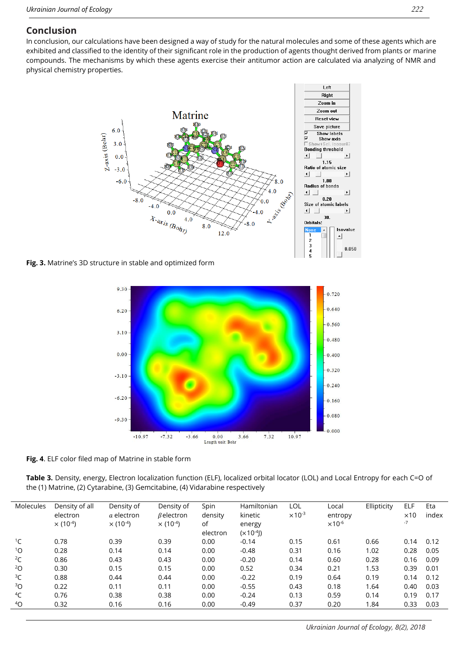#### **Conclusion**

In conclusion, our calculations have been designed a way of study for the natural molecules and some of these agents which are exhibited and classified to the identity of their significant role in the production of agents thought derived from plants or marine compounds. The mechanisms by which these agents exercise their antitumor action are calculated via analyzing of NMR and physical chemistry properties.



**Fig. 3.** Matrine's 3D structure in stable and optimized form



**Fig. 4**. ELF color filed map of Matrine in stable form

**Table 3.** Density, energy, Electron localization function (ELF), localized orbital locator (LOL) and Local Entropy for each C=O of the (1) Matrine, (2) Cytarabine, (3) Gemcitabine, (4) Vidarabine respectively

| Molecules      | Density of all               | Density of                   | Density of                   | Spin     | Hamiltonian  | LOL                       | Local                     | Ellipticity | ELF         | Eta   |
|----------------|------------------------------|------------------------------|------------------------------|----------|--------------|---------------------------|---------------------------|-------------|-------------|-------|
|                | electron                     | a electron                   | $\beta$ electron             | density  | kinetic      | $\times$ 10 <sup>-3</sup> | entropy                   |             | $\times$ 10 | index |
|                | $\times$ (10 <sup>-4</sup> ) | $\times$ (10 <sup>-4</sup> ) | $\times$ (10 <sup>-4</sup> ) | οf       | energy       |                           | $\times$ 10 <sup>-6</sup> |             | $-7$        |       |
|                |                              |                              |                              | electron | $(x10^{-4})$ |                           |                           |             |             |       |
| ${}^{1}C$      | 0.78                         | 0.39                         | 0.39                         | 0.00     | $-0.14$      | 0.15                      | 0.61                      | 0.66        | 0.14        | 0.12  |
| 1 <sub>O</sub> | 0.28                         | 0.14                         | 0.14                         | 0.00     | $-0.48$      | 0.31                      | 0.16                      | 1.02        | 0.28        | 0.05  |
| ${}^{2}C$      | 0.86                         | 0.43                         | 0.43                         | 0.00     | $-0.20$      | 0.14                      | 0.60                      | 0.28        | 0.16        | 0.09  |
| $2^2$ O        | 0.30                         | 0.15                         | 0.15                         | 0.00     | 0.52         | 0.34                      | 0.21                      | 1.53        | 0.39        | 0.01  |
| ${}^{3}C$      | 0.88                         | 0.44                         | 0.44                         | 0.00     | $-0.22$      | 0.19                      | 0.64                      | 0.19        | 0.14        | 0.12  |
| $3^{\circ}$    | 0.22                         | 0.11                         | 0.11                         | 0.00     | $-0.55$      | 0.43                      | 0.18                      | 1.64        | 0.40        | 0.03  |
| ${}^4C$        | 0.76                         | 0.38                         | 0.38                         | 0.00     | $-0.24$      | 0.13                      | 0.59                      | 0.14        | 0.19        | 0.17  |
| $^{4}O$        | 0.32                         | 0.16                         | 0.16                         | 0.00     | $-0.49$      | 0.37                      | 0.20                      | 1.84        | 0.33        | 0.03  |

*Ukrainian Journal of Ecology, 8(2), 2018*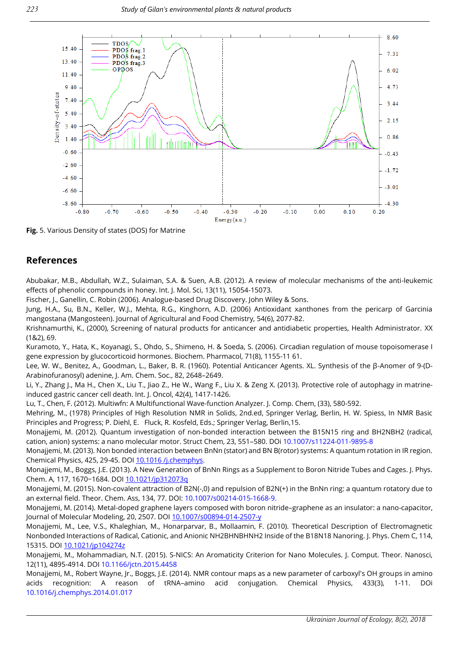

**Fig.** 5. Various Density of states (DOS) for Matrine

#### **References**

Abubakar, M.B., Abdullah, W.Z., Sulaiman, S.A. & Suen, A.B. (2012). A review of molecular mechanisms of the anti-leukemic effects of phenolic compounds in honey. Int. J. Mol. Sci, 13(11), 15054-15073.

Fischer, J., Ganellin, C. Robin (2006). [Analogue-based Drug Discovery.](https://books.google.ca/books?id=FjKfqkaKkAAC&pg=PA511) John Wiley & Sons.

Jung, H.A., Su, B.N., Keller, W.J., Mehta, R.G., Kinghorn, A.D. (2006) Antioxidant xanthones from the pericarp of Garcinia mangostana (Mangosteen). Journal of Agricultural and Food Chemistry, 54(6), 2077-82.

Krishnamurthi, K., (2000), Screening of natural products for anticancer and antidiabetic properties, Health Administrator. XX (1&2), 69.

Kuramoto, Y., Hata, K., Koyanagi, S., Ohdo, S., Shimeno, H. & Soeda, S. (2006). Circadian regulation of mouse topoisomerase I gene expression by glucocorticoid hormones. Biochem. Pharmacol, 71(8), 1155-11 61.

Lee, W. W., Benitez, A., Goodman, L., Baker, B. R. (1960). Potential Anticancer Agents. XL. Synthesis of the β-Anomer of 9-(D-Arabinofuranosyl) adenine, J. Am. Chem. Soc., 82, 2648–2649.

Li, Y., Zhang J., Ma H., Chen X., Liu T., Jiao Z., He W., Wang F., Liu X. & Zeng X. (2013). Protective role of autophagy in matrineinduced gastric cancer cell death. Int. J. Oncol, 42(4), 1417-1426.

Lu, T., Chen, F. (2012). Multiwfn: A Multifunctional Wave-function Analyzer. J. Comp. Chem, (33), 580-592.

Mehring, M., (1978) Principles of High Resolution NMR in Solids, 2nd.ed, Springer Verlag, Berlin, H. W. Spiess, In NMR Basic Principles and Progress; P. Diehl, E. Fluck, R. Kosfeld, Eds.; Springer Verlag, Berlin,15.

Monajjemi, M. (2012). Quantum investigation of non-bonded interaction between the B15N15 ring and BH2NBH2 (radical, cation, anion) systems: a nano molecular motor. Struct Chem, 23, 551–580. DOi 10.1007/s11224-011-9895-8

Monajjemi, M. (2013). Non bonded interaction between BnNn (stator) and BN B(rotor) systems: A quantum rotation in IR region. Chemical Physics, 425, 29-45. DO[I 10.1016 /j.chemphys.](https://doi.org/10.1016%20/j.chemphys)

Monajjemi, M., Boggs, J.E. (2013). A New Generation of BnNn Rings as a Supplement to Boron Nitride Tubes and Cages. J. Phys. Chem. A, 117, 1670−1684. DOI [10.1021/jp312073q](https://doi.org/10.1021/jp312073q)

Monajjemi, M. (2015). Non-covalent attraction of B2N(-,0) and repulsion of B2N(+) in the BnNn ring: a quantum rotatory due to an external field. Theor. Chem. Ass, 134, 77. DOI: 10.1007/s00214-015-1668-9.

Monajjemi, M. (2014). Metal-doped graphene layers composed with boron nitride–graphene as an insulator: a nano-capacitor, Journal of Molecular Modeling, 20, 2507. DOI [10.1007/s00894-014-2507-y](https://doi.org/10.1007/s00894-014-2507-y)

Monajjemi, M., Lee, V.S., Khaleghian, M., Honarparvar, B., Mollaamin, F. (2010). Theoretical Description of Electromagnetic Nonbonded Interactions of Radical, Cationic, and Anionic NH2BHNBHNH2 Inside of the B18N18 Nanoring. J. Phys. Chem C, 114, 15315. DOI [10.1021/jp104274z](https://doi.org/10.1021/jp104274z)

Monajjemi, M., Mohammadian, N.T. (2015). S-NICS: An Aromaticity Criterion for Nano Molecules. J. Comput. Theor. Nanosci, 12(11), 4895-4914. DOI 10.1166/jctn.2015.4458

Monajjemi, M., Robert Wayne, Jr., Boggs, J.E. (2014). NMR contour maps as a new parameter of carboxyl's OH groups in amino acids recognition: A reason of tRNA–amino acid conjugation. Chemical Physics, 433(3), 1-11. DOi 10.1016/j.chemphys.2014.01.017